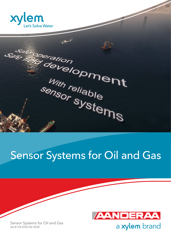

Safe mercing with religion With reliable with reliable<br>sensor systems

# Sensor Systems for Oil and Gas



Sensor Systems for Oil and Gas XA B194 0920 R2 NOR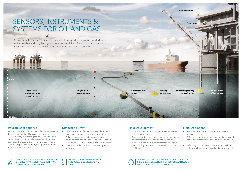

OUR SENSORS, INSTRUMENTS AND SYSTEMS ARE DESIGNED, MANUFACTURED AND SOLD FROM OUR HEADQUARTER IN BERGEN, NORWAY.

OUR MAIN MARKET AREAS ARE MARINE TRANSPORTATION, OIL AND GAS, AQUACULTURE, ENVIRONMENTAL RESEARCH, ROAD AND TRAFFIC, AND CONSTRUCTION.

80% WE EXPORT MORE THAN 80% OF OUR PRODUCTS AND SERVICES AROUND THE WORLD.



### Field Development

- Safe riser operations by monitoring current speed during deployment.
- Excellent performance of current meter in dynamic environments, even with tilt up to 50 degrees.
- Accessible data from current meter and optional water quality sensors to understand conditions real-time.

### Field Operations

- Metocean monitoring to understand impacts on subsea structures.
- Safe operations around rigs, floating platforms and helideck by monitoring wind, visibility, waves and currents.
- Safe navigation of vessels in conjunction with oil field by real-time data of wind and currents on AIS.



### Metocean Survey

- Characterization of oceanographic phenomena that have an impact on offshore operations.
- Reliable metocean data for assessment of environmental conditions such as current speed and the most common water quality parameters.
- Ensure 100% data return on pre-development surveying.

#### 50 years of experience

Aanderaa has more than 50 years of experience within deep sea exploration. Thousands of current meters are in use today in surveying the environment in and around areas with potential development for oil and gas. Take advantage of the reliability of our systems whether it is pre-development, during riser operations or operations monitoring.